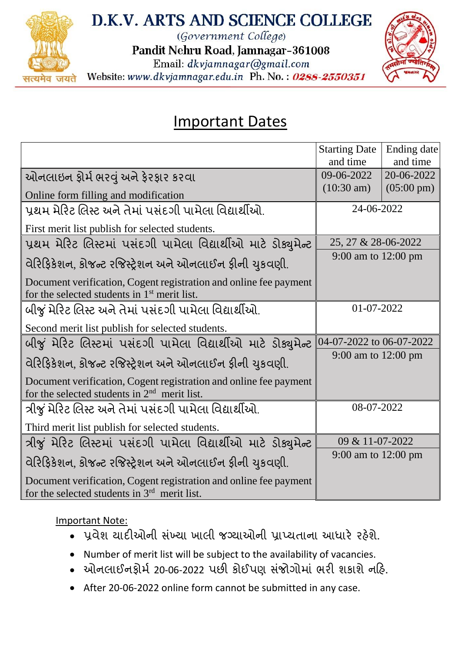

## D.K.V. ARTS AND SCIENCE COLLEGE

(Government College)

Pandit Nehru Road, Jamnagar-361008

Email: dkvjamnagar@gmail.com

Website: www.dkvjamnagar.edu.in Ph. No.: 0288-2550351



## Important Dates

|                                                                                                                     | <b>Starting Date</b><br>and time | Ending date<br>and time |
|---------------------------------------------------------------------------------------------------------------------|----------------------------------|-------------------------|
| ઓનલાઇન ફોર્મ ભરવું અને ફેરફાર કરવા                                                                                  | 09-06-2022                       | 20-06-2022              |
| Online form filling and modification                                                                                | $(10:30 \text{ am})$             | $(05:00 \text{ pm})$    |
| પ્રથમ મેરિટ લિસ્ટ અને તેમાં પસંદગી પામેલા વિદ્યાર્થીઓ.                                                              | 24-06-2022                       |                         |
| First merit list publish for selected students.                                                                     |                                  |                         |
| પ્રથમ મેરિટ લિસ્ટમાં પસંદગી પામેલા વિદ્યાર્થીઓ માટે ડોક્યુમેન્ટ                                                     | 25, 27 & 28-06-2022              |                         |
| વેરિફિકેશન. કોજન્ટ રજિસ્ટ્રેશન અને ઓનલાઈન ફીની ચુકવણી.                                                              | 9:00 am to 12:00 pm              |                         |
| Document verification, Cogent registration and online fee payment<br>for the selected students in $1st$ merit list. |                                  |                         |
| બીજું મેરિટ લિસ્ટ અને તેમાં પસંદગી પામેલા વિદ્યાર્થીઓ.                                                              | 01-07-2022                       |                         |
| Second merit list publish for selected students.                                                                    |                                  |                         |
| બીજું મેરિટ લિસ્ટમાં પસંદગી પામેલા વિદ્યાર્થીઓ માટે ડોક્યુમેન્ટ                                                     | 04-07-2022 to 06-07-2022         |                         |
| વેરિફિકેશન, કોજન્ટ રજિસ્ટ્રેશન અને ઓનલાઈન ફીની ચુકવણી.                                                              | 9:00 am to 12:00 pm              |                         |
| Document verification, Cogent registration and online fee payment<br>for the selected students in $2nd$ merit list. |                                  |                         |
| ત્રીજું મેરિટ લિસ્ટ અને તેમાં પસંદગી પામેલા વિદ્યાર્થીઓ.                                                            | 08-07-2022                       |                         |
| Third merit list publish for selected students.                                                                     |                                  |                         |
| ત્રીજું મેરિટ લિસ્ટમાં પસંદગી પામેલા વિદ્યાર્થીઓ માટે ડોક્યુમેન્ટ                                                   | 09 & 11-07-2022                  |                         |
| વેરિફિકેશન, કોજન્ટ રજિસ્ટ્રેશન અને ઓનલાઈન ફીની ચુકવણી.                                                              | 9:00 am to 12:00 pm              |                         |
| Document verification, Cogent registration and online fee payment<br>for the selected students in $3rd$ merit list. |                                  |                         |

## Important Note:

- પ્રવેશ યાદીઓની સંખ્યા ખાલી જગ્યાઓની પ્રાપ્યતાના આધારે રહેશે.
- Number of merit list will be subject to the availability of vacancies.
- ઓનલાઈનફોર્મ 20-06-2022 પછી કોઈપણ સંજોગોમાં ભરી શકાશે નહિ.
- After 20-06-2022 online form cannot be submitted in any case.